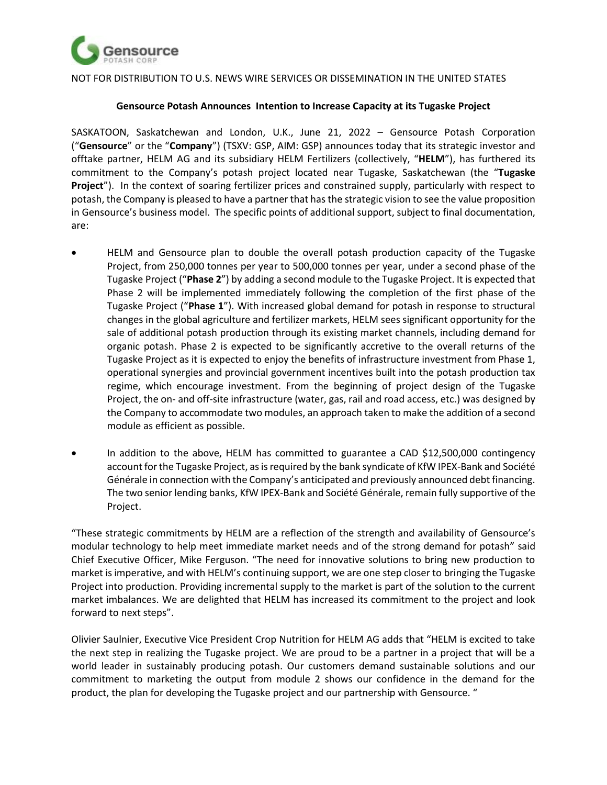

## NOT FOR DISTRIBUTION TO U.S. NEWS WIRE SERVICES OR DISSEMINATION IN THE UNITED STATES

### **Gensource Potash Announces Intention to Increase Capacity at its Tugaske Project**

SASKATOON, Saskatchewan and London, U.K., June 21, 2022 – Gensource Potash Corporation ("**Gensource**" or the "**Company**") (TSXV: GSP, AIM: GSP) announces today that its strategic investor and offtake partner, HELM AG and its subsidiary HELM Fertilizers (collectively, "**HELM**"), has furthered its commitment to the Company's potash project located near Tugaske, Saskatchewan (the "**Tugaske Project**"). In the context of soaring fertilizer prices and constrained supply, particularly with respect to potash, the Company is pleased to have a partner that has the strategic vision to see the value proposition in Gensource's business model. The specific points of additional support, subject to final documentation, are:

- HELM and Gensource plan to double the overall potash production capacity of the Tugaske Project, from 250,000 tonnes per year to 500,000 tonnes per year, under a second phase of the Tugaske Project ("**Phase 2**") by adding a second module to the Tugaske Project. It is expected that Phase 2 will be implemented immediately following the completion of the first phase of the Tugaske Project ("**Phase 1**"). With increased global demand for potash in response to structural changes in the global agriculture and fertilizer markets, HELM sees significant opportunity for the sale of additional potash production through its existing market channels, including demand for organic potash. Phase 2 is expected to be significantly accretive to the overall returns of the Tugaske Project as it is expected to enjoy the benefits of infrastructure investment from Phase 1, operational synergies and provincial government incentives built into the potash production tax regime, which encourage investment. From the beginning of project design of the Tugaske Project, the on- and off-site infrastructure (water, gas, rail and road access, etc.) was designed by the Company to accommodate two modules, an approach taken to make the addition of a second module as efficient as possible.
- In addition to the above, HELM has committed to guarantee a CAD \$12,500,000 contingency account for the Tugaske Project, as isrequired by the bank syndicate of KfW IPEX-Bank and Société Générale in connection with the Company's anticipated and previously announced debt financing. The two senior lending banks, KfW IPEX-Bank and Société Générale, remain fully supportive of the Project.

"These strategic commitments by HELM are a reflection of the strength and availability of Gensource's modular technology to help meet immediate market needs and of the strong demand for potash" said Chief Executive Officer, Mike Ferguson. "The need for innovative solutions to bring new production to market is imperative, and with HELM's continuing support, we are one step closer to bringing the Tugaske Project into production. Providing incremental supply to the market is part of the solution to the current market imbalances. We are delighted that HELM has increased its commitment to the project and look forward to next steps".

Olivier Saulnier, Executive Vice President Crop Nutrition for HELM AG adds that "HELM is excited to take the next step in realizing the Tugaske project. We are proud to be a partner in a project that will be a world leader in sustainably producing potash. Our customers demand sustainable solutions and our commitment to marketing the output from module 2 shows our confidence in the demand for the product, the plan for developing the Tugaske project and our partnership with Gensource. "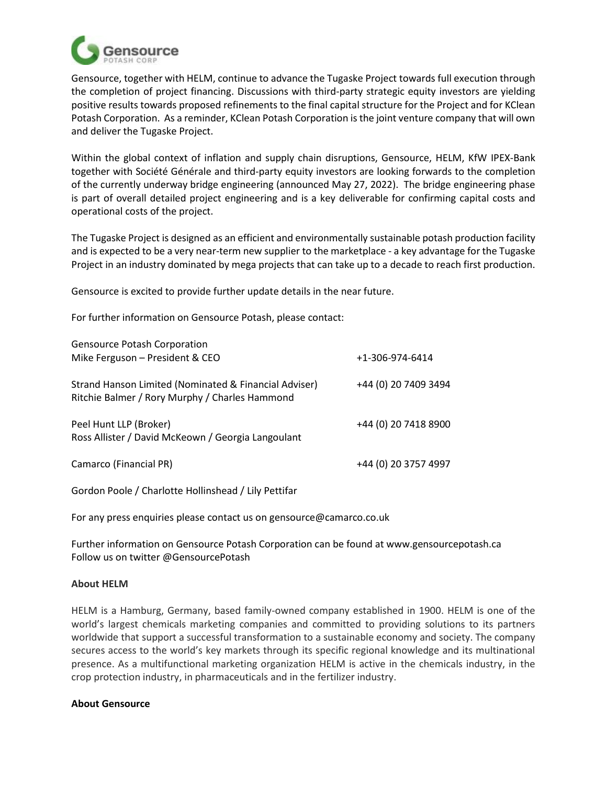

Gensource, together with HELM, continue to advance the Tugaske Project towards full execution through the completion of project financing. Discussions with third-party strategic equity investors are yielding positive results towards proposed refinements to the final capital structure for the Project and for KClean Potash Corporation. As a reminder, KClean Potash Corporation is the joint venture company that will own and deliver the Tugaske Project.

Within the global context of inflation and supply chain disruptions, Gensource, HELM, KfW IPEX-Bank together with Société Générale and third-party equity investors are looking forwards to the completion of the currently underway bridge engineering (announced May 27, 2022). The bridge engineering phase is part of overall detailed project engineering and is a key deliverable for confirming capital costs and operational costs of the project.

The Tugaske Project is designed as an efficient and environmentally sustainable potash production facility and is expected to be a very near-term new supplier to the marketplace - a key advantage for the Tugaske Project in an industry dominated by mega projects that can take up to a decade to reach first production.

Gensource is excited to provide further update details in the near future.

For further information on Gensource Potash, please contact:

| <b>Gensource Potash Corporation</b><br>Mike Ferguson - President & CEO                                  | +1-306-974-6414      |
|---------------------------------------------------------------------------------------------------------|----------------------|
| Strand Hanson Limited (Nominated & Financial Adviser)<br>Ritchie Balmer / Rory Murphy / Charles Hammond | +44 (0) 20 7409 3494 |
| Peel Hunt LLP (Broker)<br>Ross Allister / David McKeown / Georgia Langoulant                            | +44 (0) 20 7418 8900 |
| Camarco (Financial PR)                                                                                  | +44 (0) 20 3757 4997 |

Gordon Poole / Charlotte Hollinshead / Lily Pettifar

For any press enquiries please contact us on gensource@camarco.co.uk

Further information on Gensource Potash Corporation can be found at www.gensourcepotash.ca Follow us on twitter @GensourcePotash

## **About HELM**

HELM is a Hamburg, Germany, based family-owned company established in 1900. HELM is one of the world's largest chemicals marketing companies and committed to providing solutions to its partners worldwide that support a successful transformation to a sustainable economy and society. The company secures access to the world's key markets through its specific regional knowledge and its multinational presence. As a multifunctional marketing organization HELM is active in the chemicals industry, in the crop protection industry, in pharmaceuticals and in the fertilizer industry.

#### **About Gensource**